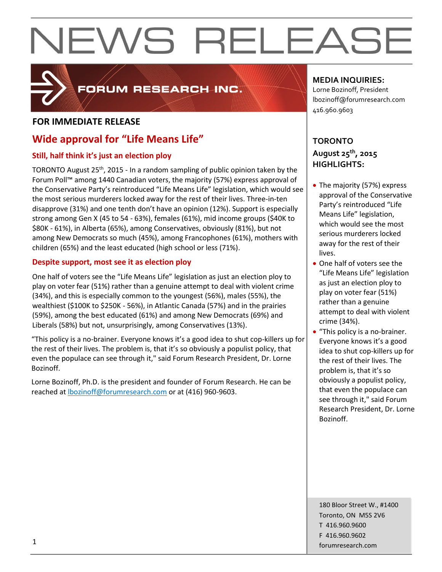

## FORUM RESEARCH INC.

## **FOR IMMEDIATE RELEASE**

## **Wide approval for "Life Means Life"**

## **Still, half think it's just an election ploy**

TORONTO August 25<sup>th</sup>, 2015 - In a random sampling of public opinion taken by the Forum Poll™ among 1440 Canadian voters, the majority (57%) express approval of the Conservative Party's reintroduced "Life Means Life" legislation, which would see the most serious murderers locked away for the rest of their lives. Three-in-ten disapprove (31%) and one tenth don't have an opinion (12%). Support is especially strong among Gen X (45 to 54 - 63%), females (61%), mid income groups (\$40K to \$80K - 61%), in Alberta (65%), among Conservatives, obviously (81%), but not among New Democrats so much (45%), among Francophones (61%), mothers with children (65%) and the least educated (high school or less (71%).

## **Despite support, most see it as election ploy**

One half of voters see the "Life Means Life" legislation as just an election ploy to play on voter fear (51%) rather than a genuine attempt to deal with violent crime (34%), and this is especially common to the youngest (56%), males (55%), the wealthiest (\$100K to \$250K - 56%), in Atlantic Canada (57%) and in the prairies (59%), among the best educated (61%) and among New Democrats (69%) and Liberals (58%) but not, unsurprisingly, among Conservatives (13%).

"This policy is a no-brainer. Everyone knows it's a good idea to shut cop-killers up for the rest of their lives. The problem is, that it's so obviously a populist policy, that even the populace can see through it," said Forum Research President, Dr. Lorne Bozinoff.

Lorne Bozinoff, Ph.D. is the president and founder of Forum Research. He can be reached at [lbozinoff@forumresearch.com](mailto:lbozinoff@forumresearch.com) or at (416) 960-9603.

## **MEDIA INQUIRIES:**

Lorne Bozinoff, President lbozinoff@forumresearch.com 416.960.9603

## **TORONTO August 25th, 2015 HIGHLIGHTS:**

- The majority (57%) express approval of the Conservative Party's reintroduced "Life Means Life" legislation, which would see the most serious murderers locked away for the rest of their lives.
- One half of voters see the "Life Means Life" legislation as just an election ploy to play on voter fear (51%) rather than a genuine attempt to deal with violent crime (34%).
- "This policy is a no-brainer. Everyone knows it's a good idea to shut cop-killers up for the rest of their lives. The problem is, that it's so obviously a populist policy, that even the populace can see through it," said Forum Research President, Dr. Lorne Bozinoff.

180 Bloor Street W., #1400 Toronto, ON M5S 2V6 T 416.960.9600 F 416.960.9602 for the contract of the contract of the contract of the contract of the contract of the contract of the contract of the contract of the contract of the contract of the contract of the contract of the contract of the contra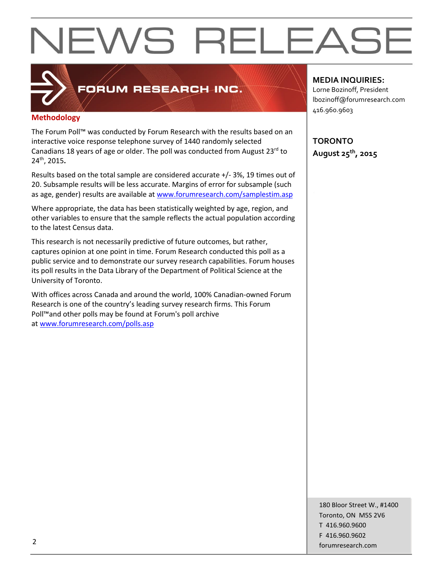## **Methodology**

The Forum Poll™ was conducted by Forum Research with the results based on an interactive voice response telephone survey of 1440 randomly selected Canadians 18 years of age or older. The poll was conducted from August 23<sup>rd</sup> to 24th, 2015**.**

FORUM RESEARCH INC.

Results based on the total sample are considered accurate +/- 3%, 19 times out of 20. Subsample results will be less accurate. Margins of error for subsample (such as age, gender) results are available at [www.forumresearch.com/samplestim.asp](http://www.forumresearch.com/samplestim.asp)

Where appropriate, the data has been statistically weighted by age, region, and other variables to ensure that the sample reflects the actual population according to the latest Census data.

This research is not necessarily predictive of future outcomes, but rather, captures opinion at one point in time. Forum Research conducted this poll as a public service and to demonstrate our survey research capabilities. Forum houses its poll results in the Data Library of the Department of Political Science at the University of Toronto.

With offices across Canada and around the world, 100% Canadian-owned Forum Research is one of the country's leading survey research firms. This Forum Poll™and other polls may be found at Forum's poll archive at [www.forumresearch.com/polls.asp](http://www.forumresearch.com/polls.asp)

### **MEDIA INQUIRIES:**

Lorne Bozinoff, President lbozinoff@forumresearch.com 416.960.9603

**TORONTO August 25th, 2015**

180 Bloor Street W., #1400 Toronto, ON M5S 2V6 T 416.960.9600 F 416.960.9602 example to the contract of the contract of the contract of the contract of the contract of the contract of the contract of the contract of the contract of the contract of the contract of the contract of the contract of the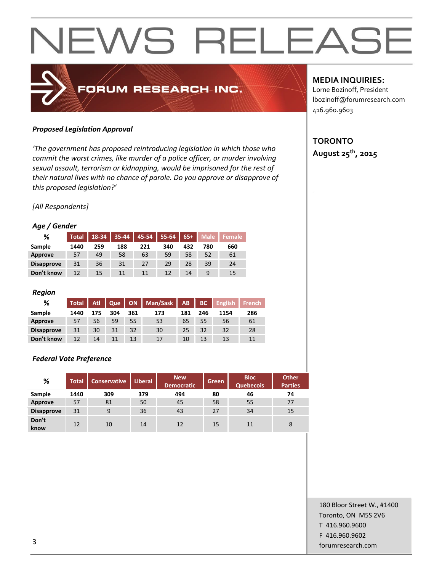#### *Proposed Legislation Approval*

*'The government has proposed reintroducing legislation in which those who commit the worst crimes, like murder of a police officer, or murder involving sexual assault, terrorism or kidnapping, would be imprisoned for the rest of their natural lives with no chance of parole. Do you approve or disapprove of this proposed legislation?'*

FORUM RESEARCH INC.

#### *[All Respondents]*

#### *Age / Gender*

| %                 | <b>Total</b> | 18-34 | 35-44 | 45-54 | 55-64 | $65+$ | <b>Male</b> | Female |
|-------------------|--------------|-------|-------|-------|-------|-------|-------------|--------|
| Sample            | 1440         | 259   | 188   | 221   | 340   | 432   | 780         | 660    |
| Approve           | 57           | 49    | 58    | 63    | 59    | 58    | 52          | 61     |
| <b>Disapprove</b> | 31           | 36    | 31    | 27    | 29    | 28    | 39          | 24     |
| Don't know        | 12           | 15    | 11    | 11    | 12    | 14    | 9           | 15     |

#### *Region*

| %                 | Total | Atl | Que |     | ON   Man/Sask   AB |     | BC  | <b>English</b> | French |
|-------------------|-------|-----|-----|-----|--------------------|-----|-----|----------------|--------|
| Sample            | 1440  | 175 | 304 | 361 | 173                | 181 | 246 | 1154           | 286    |
| Approve           | 57    | 56  | 59  | 55  | 53                 | 65  | 55  | 56             | 61     |
| <b>Disapprove</b> | 31    | 30  | 31  | 32  | 30                 | 25  | 32  | 32             | 28     |
| Don't know        | 12    | 14  |     | 13  | 17                 | 10  | 13  | 13             | 11     |

#### *Federal Vote Preference*

| %                 | <b>Total</b> | <b>Conservative</b> | <b>Liberal</b> | <b>New</b><br><b>Democratic</b> | Green | <b>Bloc</b><br><b>Quebecois</b> | <b>Other</b><br><b>Parties</b> |
|-------------------|--------------|---------------------|----------------|---------------------------------|-------|---------------------------------|--------------------------------|
| Sample            | 1440         | 309                 | 379            | 494                             | 80    | 46                              | 74                             |
| Approve           | 57           | 81                  | 50             | 45                              | 58    | 55                              | 77                             |
| <b>Disapprove</b> | 31           | 9                   | 36             | 43                              | 27    | 34                              | 15                             |
| Don't<br>know     | 12           | 10                  | 14             | 12                              | 15    | 11                              | 8                              |

#### **MEDIA INQUIRIES:**

Lorne Bozinoff, President lbozinoff@forumresearch.com 416.960.9603

## **TORONTO August 25th, 2015**

180 Bloor Street W., #1400 Toronto, ON M5S 2V6 T 416.960.9600 F 416.960.9602 forumresearch.com and the set of the set of the set of the set of the set of the set of the set of the set of the set of the set of the set of the set of the set of the set of the set of the set of the set of the set of th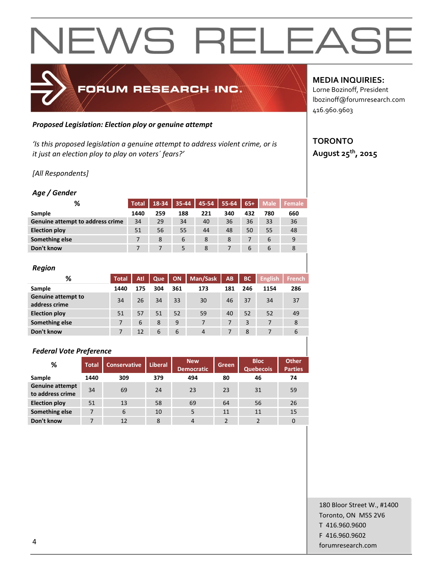

#### *Proposed Legislation: Election ploy or genuine attempt*

*'Is this proposed legislation a genuine attempt to address violent crime, or is it just an election ploy to play on voters´ fears?'*

### *[All Respondents]*

### *Age / Gender*

| %                                | <b>Total</b> |     |     |     | 18-34 35-44 45-54 55-64 65+ |     | <b>Male</b> | Female |
|----------------------------------|--------------|-----|-----|-----|-----------------------------|-----|-------------|--------|
| Sample                           | 1440         | 259 | 188 | 221 | 340                         | 432 | 780         | 660    |
| Genuine attempt to address crime | 34           | 29  | 34  | 40  | 36                          | 36  | 33          | 36     |
| <b>Election ploy</b>             | 51           | 56  | 55  | 44  | 48                          | 50  | 55          | 48     |
| Something else                   |              | 8   | 6   | 8   | 8                           |     | 6           | 9      |
| Don't know                       |              |     | 5   | 8   |                             | 6   | b           | 8      |

#### *Region*

| %                                          | <b>Total</b> | Atl | Que | <b>ON</b> | Man/Sask       | AB  | <b>BC</b> | <b>English</b> | <b>French</b> |
|--------------------------------------------|--------------|-----|-----|-----------|----------------|-----|-----------|----------------|---------------|
| Sample                                     | 1440         | 175 | 304 | 361       | 173            | 181 | 246       | 1154           | 286           |
| <b>Genuine attempt to</b><br>address crime | 34           | 26  | 34  | 33        | 30             | 46  | 37        | 34             | 37            |
| <b>Election ploy</b>                       | 51           | 57  | 51  | 52        | 59             | 40  | 52        | 52             | 49            |
| Something else                             |              | 6   | 8   | 9         | 7              | 7   | 3         |                | 8             |
| Don't know                                 | 7            | 12  | 6   | 6         | $\overline{4}$ |     | 8         | 7              | 6             |
|                                            |              |     |     |           |                |     |           |                |               |

### *Federal Vote Preference*

| %                                          | <b>Total</b> | <b>Conservative</b> | Liberal | <b>New</b><br><b>Democratic</b> | Green | <b>Bloc</b><br><b>Quebecois</b> | <b>Other</b><br><b>Parties</b> |
|--------------------------------------------|--------------|---------------------|---------|---------------------------------|-------|---------------------------------|--------------------------------|
| Sample                                     | 1440         | 309                 | 379     | 494                             | 80    | 46                              | 74                             |
| <b>Genuine attempt</b><br>to address crime | 34           | 69                  | 24      | 23                              | 23    | 31                              | 59                             |
| <b>Election ploy</b>                       | 51           | 13                  | 58      | 69                              | 64    | 56                              | 26                             |
| Something else                             | 7            | 6                   | 10      | 5                               | 11    | 11                              | 15                             |
| Don't know                                 | 7            | 12                  | 8       | 4                               | っ     | $\mathcal{P}$                   | $\Omega$                       |

## **MEDIA INQUIRIES:**

Lorne Bozinoff, President lbozinoff@forumresearch.com 416.960.9603

## **TORONTO August 25th, 2015**

180 Bloor Street W., #1400 Toronto, ON M5S 2V6 T 416.960.9600 F 416.960.9602 example to the contract of the contract of the contract of the contract of the contract of the contract of the contract of the contract of the contract of the contract of the contract of the contract of the contract of the